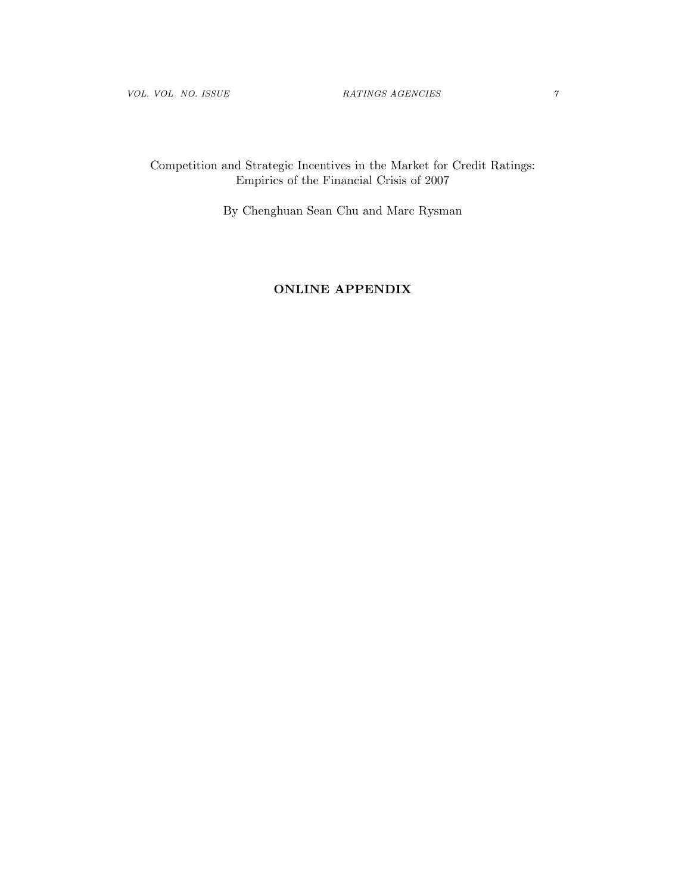# Competition and Strategic Incentives in the Market for Credit Ratings: Empirics of the Financial Crisis of 2007

By Chenghuan Sean Chu and Marc Rysman

# ONLINE APPENDIX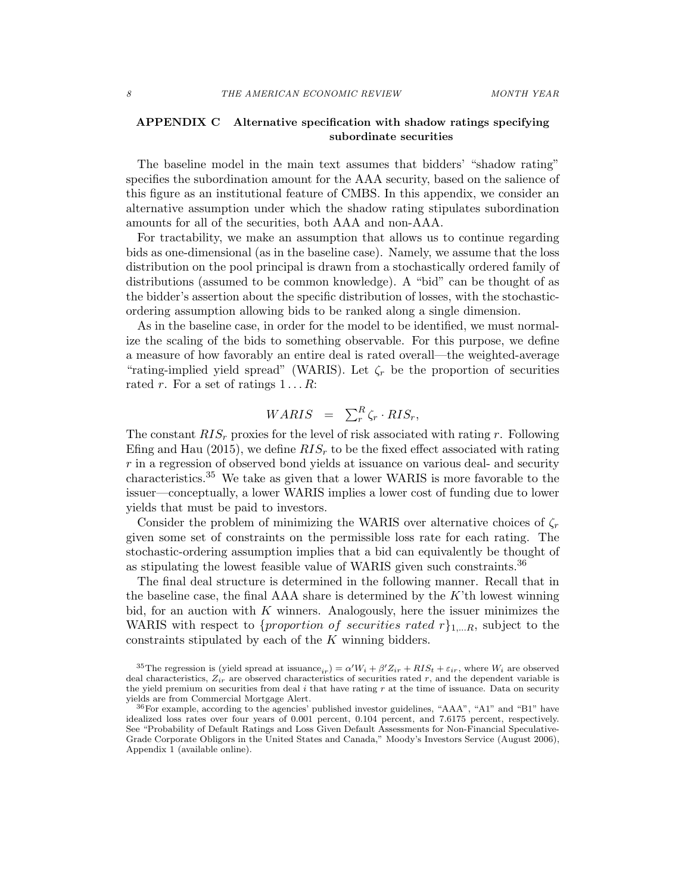## APPENDIX C Alternative specification with shadow ratings specifying subordinate securities

The baseline model in the main text assumes that bidders' "shadow rating" specifies the subordination amount for the AAA security, based on the salience of this figure as an institutional feature of CMBS. In this appendix, we consider an alternative assumption under which the shadow rating stipulates subordination amounts for all of the securities, both AAA and non-AAA.

For tractability, we make an assumption that allows us to continue regarding bids as one-dimensional (as in the baseline case). Namely, we assume that the loss distribution on the pool principal is drawn from a stochastically ordered family of distributions (assumed to be common knowledge). A "bid" can be thought of as the bidder's assertion about the specific distribution of losses, with the stochasticordering assumption allowing bids to be ranked along a single dimension.

As in the baseline case, in order for the model to be identified, we must normalize the scaling of the bids to something observable. For this purpose, we define a measure of how favorably an entire deal is rated overall—the weighted-average "rating-implied yield spread" (WARIS). Let  $\zeta_r$  be the proportion of securities rated *r*. For a set of ratings 1 *...R*:

$$
WARIS = \sum_{r}^{R} \zeta_r \cdot RIS_r,
$$

The constant *RIS<sup>r</sup>* proxies for the level of risk associated with rating *r*. Following Efing and Hau (2015), we define  $RIS<sub>r</sub>$  to be the fixed effect associated with rating *r* in a regression of observed bond yields at issuance on various deal- and security characteristics.<sup>35</sup> We take as given that a lower WARIS is more favorable to the issuer—conceptually, a lower WARIS implies a lower cost of funding due to lower yields that must be paid to investors.

Consider the problem of minimizing the WARIS over alternative choices of  $\zeta_r$ given some set of constraints on the permissible loss rate for each rating. The stochastic-ordering assumption implies that a bid can equivalently be thought of as stipulating the lowest feasible value of WARIS given such constraints.<sup>36</sup>

The final deal structure is determined in the following manner. Recall that in the baseline case, the final AAA share is determined by the *K*'th lowest winning bid, for an auction with *K* winners. Analogously, here the issuer minimizes the WARIS with respect to *{proportion of securities rated r}*1*,...R*, subject to the constraints stipulated by each of the *K* winning bidders.

<sup>&</sup>lt;sup>35</sup>The regression is (yield spread at issuance<sub>*ir*</sub>) =  $\alpha'W_i + \beta'Z_{ir} + RIS_t + \varepsilon_{ir}$ , where  $W_i$  are observed deal characteristics,  $Z_{ir}$  are observed characteristics of securities rated  $r$ , and the dependent variable is the yield premium on securities from deal *i* that have rating *r* at the time of issuance. Data on security yields are from Commercial Mortgage Alert.

<sup>36</sup>For example, according to the agencies' published investor guidelines, "AAA", "A1" and "B1" have idealized loss rates over four years of 0.001 percent, 0.104 percent, and 7.6175 percent, respectively. See "Probability of Default Ratings and Loss Given Default Assessments for Non-Financial Speculative-Grade Corporate Obligors in the United States and Canada," Moody's Investors Service (August 2006), Appendix 1 (available online).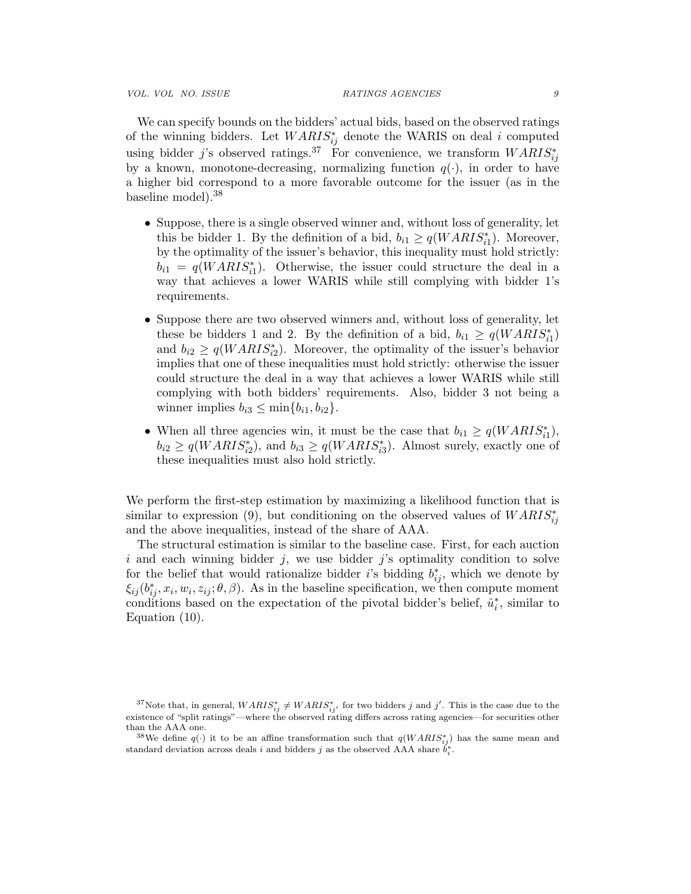*VOL. VOL NO. ISSUE RATINGS AGENCIES 9*

We can specify bounds on the bidders' actual bids, based on the observed ratings of the winning bidders. Let  $WARIS_{ij}^*$  denote the WARIS on deal *i* computed using bidder *j*'s observed ratings.<sup>37</sup> For convenience, we transform  $WARIS^*_{ij}$ by a known, monotone-decreasing, normalizing function  $q(\cdot)$ , in order to have a higher bid correspond to a more favorable outcome for the issuer (as in the baseline model).<sup>38</sup>

- Suppose, there is a single observed winner and, without loss of generality, let this be bidder 1. By the definition of a bid,  $b_{i1} \ge q(WARIS_{i1}^*)$ . Moreover, by the optimality of the issuer's behavior, this inequality must hold strictly:  $b_{i1} = q(WARI S_{i1}^*)$ . Otherwise, the issuer could structure the deal in a way that achieves a lower WARIS while still complying with bidder 1's requirements.
- Suppose there are two observed winners and, without loss of generality, let these be bidders 1 and 2. By the definition of a bid,  $b_{i1} \ge q(WARIS_{i1}^*)$ and  $b_{i2} \geq q(WARI S_{i2}^*)$ . Moreover, the optimality of the issuer's behavior implies that one of these inequalities must hold strictly: otherwise the issuer could structure the deal in a way that achieves a lower WARIS while still complying with both bidders' requirements. Also, bidder 3 not being a winner implies  $b_{i3} \leq \min\{b_{i1}, b_{i2}\}.$
- When all three agencies win, it must be the case that  $b_{i1} \geq q(WARIS_{i1}^*)$ ,  $b_{i2} \ge q(WARI S_{i2}^*)$ , and  $b_{i3} \ge q(WARI S_{i3}^*)$ . Almost surely, exactly one of these inequalities must also hold strictly.

We perform the first-step estimation by maximizing a likelihood function that is similar to expression (9), but conditioning on the observed values of  $WARIS^*_{ij}$ and the above inequalities, instead of the share of AAA.

The structural estimation is similar to the baseline case. First, for each auction *i* and each winning bidder *j*, we use bidder *j*'s optimality condition to solve for the belief that would rationalize bidder *i*'s bidding  $b_{ij}^*$ , which we denote by  $\xi_{ij}(b_{ij}^*, x_i, w_i, z_{ij}; \theta, \beta)$ . As in the baseline specification, we then compute moment conditions based on the expectation of the pivotal bidder's belief,  $\hat{u}_i^*$ , similar to Equation (10).

<sup>&</sup>lt;sup>37</sup>Note that, in general,  $WARIS^*_{ij} \neq WARIS^*_{ij}$ , for two bidders *j* and *j'*. This is the case due to the existence of "split ratings"—where the observed rating differs across rating agencies—for securities other than the AAA one.

<sup>&</sup>lt;sup>38</sup>We define  $q(.)$  it to be an affine transformation such that  $q(WARIS^*_{ij})$  has the same mean and standard deviation across deals *i* and bidders *j* as the observed AAA share  $b_i^*$ .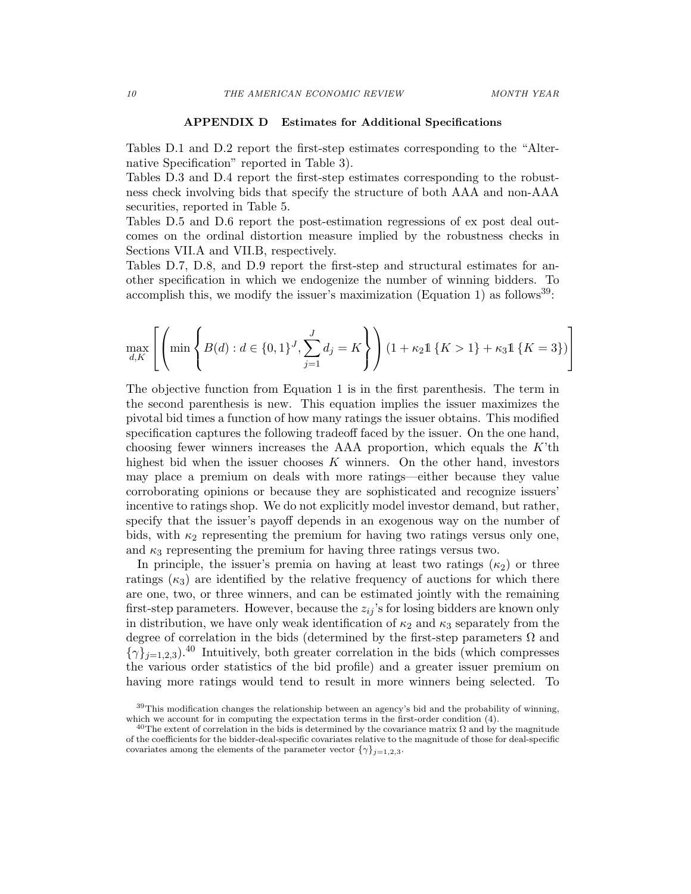### APPENDIX D Estimates for Additional Specifications

Tables D.1 and D.2 report the first-step estimates corresponding to the "Alternative Specification" reported in Table 3).

Tables D.3 and D.4 report the first-step estimates corresponding to the robustness check involving bids that specify the structure of both AAA and non-AAA securities, reported in Table 5.

Tables D.5 and D.6 report the post-estimation regressions of ex post deal outcomes on the ordinal distortion measure implied by the robustness checks in Sections VII.A and VII.B, respectively.

Tables D.7, D.8, and D.9 report the first-step and structural estimates for another specification in which we endogenize the number of winning bidders. To accomplish this, we modify the issuer's maximization (Equation 1) as follows<sup>39</sup>:

$$
\max_{d,K} \left[ \left( \min \left\{ B(d) : d \in \{0,1\}^J, \sum_{j=1}^J d_j = K \right\} \right) (1 + \kappa_2 \mathbb{1} \{ K > 1 \} + \kappa_3 \mathbb{1} \{ K = 3 \}) \right]
$$

The objective function from Equation 1 is in the first parenthesis. The term in the second parenthesis is new. This equation implies the issuer maximizes the pivotal bid times a function of how many ratings the issuer obtains. This modified specification captures the following tradeoff faced by the issuer. On the one hand, choosing fewer winners increases the AAA proportion, which equals the *K*'th highest bid when the issuer chooses *K* winners. On the other hand, investors may place a premium on deals with more ratings—either because they value corroborating opinions or because they are sophisticated and recognize issuers' incentive to ratings shop. We do not explicitly model investor demand, but rather, specify that the issuer's payoff depends in an exogenous way on the number of bids, with  $\kappa_2$  representing the premium for having two ratings versus only one, and  $\kappa_3$  representing the premium for having three ratings versus two.

In principle, the issuer's premia on having at least two ratings  $(\kappa_2)$  or three ratings  $(\kappa_3)$  are identified by the relative frequency of auctions for which there are one, two, or three winners, and can be estimated jointly with the remaining first-step parameters. However, because the  $z_{ij}$ 's for losing bidders are known only in distribution, we have only weak identification of  $\kappa_2$  and  $\kappa_3$  separately from the degree of correlation in the bids (determined by the first-step parameters  $\Omega$  and  $\{\gamma\}_{i=1,2,3}$ ).<sup>40</sup> Intuitively, both greater correlation in the bids (which compresses the various order statistics of the bid profile) and a greater issuer premium on having more ratings would tend to result in more winners being selected. To

<sup>&</sup>lt;sup>39</sup>This modification changes the relationship between an agency's bid and the probability of winning, which we account for in computing the expectation terms in the first-order condition (4).

<sup>&</sup>lt;sup>40</sup>The extent of correlation in the bids is determined by the covariance matrix  $\Omega$  and by the magnitude of the coecients for the bidder-deal-specific covariates relative to the magnitude of those for deal-specific covariates among the elements of the parameter vector  ${\gamma}_{j=1,2,3}$ .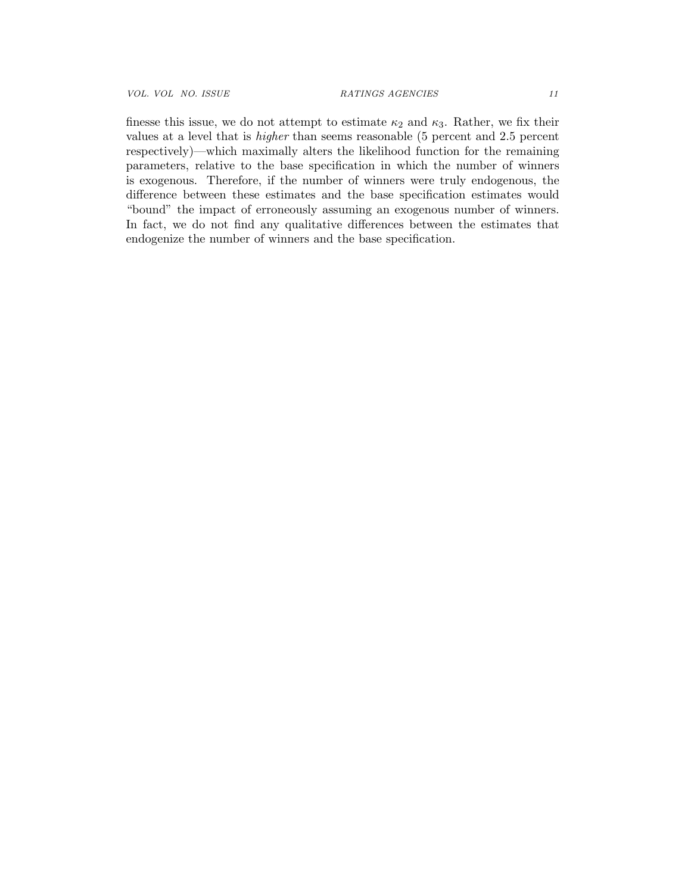finesse this issue, we do not attempt to estimate  $\kappa_2$  and  $\kappa_3$ . Rather, we fix their values at a level that is *higher* than seems reasonable (5 percent and 2.5 percent respectively)—which maximally alters the likelihood function for the remaining parameters, relative to the base specification in which the number of winners is exogenous. Therefore, if the number of winners were truly endogenous, the difference between these estimates and the base specification estimates would "bound" the impact of erroneously assuming an exogenous number of winners. In fact, we do not find any qualitative differences between the estimates that endogenize the number of winners and the base specification.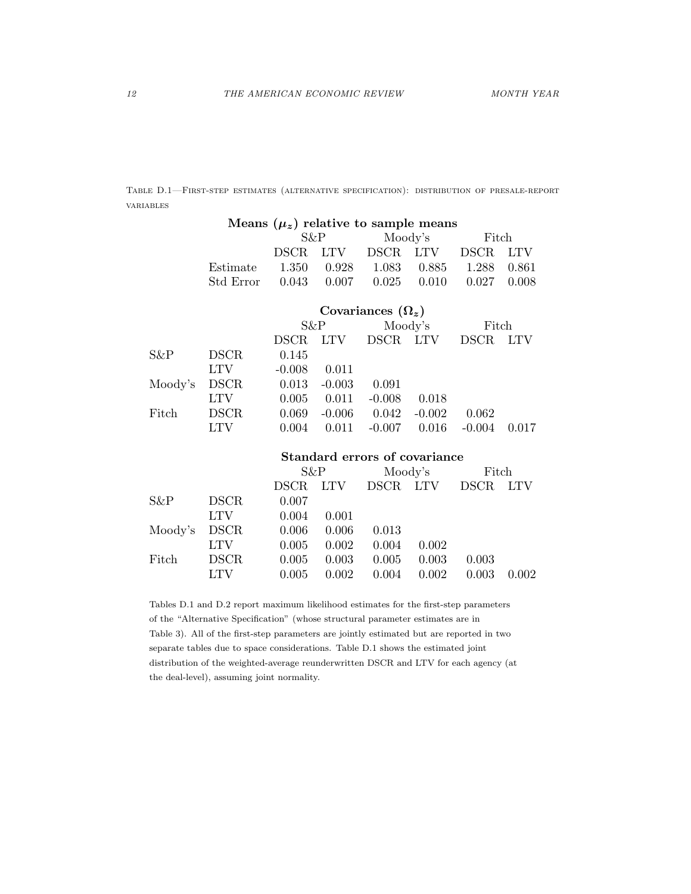Table D.1—First-step estimates (alternative specification): distribution of presale-report variables

|         |             | Means $(\mu_z)$ relative to sample means |            |                               |            |             |            |  |
|---------|-------------|------------------------------------------|------------|-------------------------------|------------|-------------|------------|--|
|         |             | $S\&P$                                   |            |                               | Moody's    |             | Fitch      |  |
|         |             | <b>DSCR</b>                              | <b>LTV</b> | <b>DSCR</b>                   | <b>LTV</b> | <b>DSCR</b> | <b>LTV</b> |  |
|         | Estimate    | 1.350                                    | 0.928      | 1.083                         | 0.885      | 1.288       | 0.861      |  |
|         | Std Error   | 0.043                                    | 0.007      | 0.025                         | 0.010      | 0.027       | 0.008      |  |
|         |             |                                          |            | Covariances $(\Omega_z)$      |            |             |            |  |
|         |             | S&P                                      |            |                               | Moody's    | Fitch       |            |  |
|         |             | <b>DSCR</b>                              | <b>LTV</b> | DSCR LTV                      |            | <b>DSCR</b> | <b>LTV</b> |  |
| S&P     | <b>DSCR</b> | 0.145                                    |            |                               |            |             |            |  |
|         | <b>LTV</b>  | $-0.008$                                 | 0.011      |                               |            |             |            |  |
| Moody's | <b>DSCR</b> | 0.013                                    | $-0.003$   | 0.091                         |            |             |            |  |
|         | <b>LTV</b>  | 0.005                                    | 0.011      | $-0.008$                      | 0.018      |             |            |  |
| Fitch   | <b>DSCR</b> | 0.069                                    | $-0.006$   | 0.042                         | $-0.002$   | 0.062       |            |  |
|         | <b>LTV</b>  | 0.004                                    | 0.011      | $-0.007$                      | 0.016      | $-0.004$    | 0.017      |  |
|         |             |                                          |            | Standard errors of covariance |            |             |            |  |
|         |             | $S\&P$                                   |            |                               | Moody's    | Fitch       |            |  |
|         |             | <b>DSCR</b>                              | <b>LTV</b> | DSCR LTV                      |            | <b>DSCR</b> | <b>LTV</b> |  |
| S&P     | <b>DSCR</b> | 0.007                                    |            |                               |            |             |            |  |
|         | <b>LTV</b>  | 0.004                                    | 0.001      |                               |            |             |            |  |
| Moody's | <b>DSCR</b> | 0.006                                    | 0.006      | 0.013                         |            |             |            |  |
|         | <b>LTV</b>  | 0.005                                    | 0.002      | 0.004                         | 0.002      |             |            |  |
| Fitch   | <b>DSCR</b> | 0.005                                    | 0.003      | 0.005                         | 0.003      | 0.003       |            |  |
|         | <b>LTV</b>  | 0.005                                    | 0.002      | 0.004                         | 0.002      | 0.003       | 0.002      |  |

Tables D.1 and D.2 report maximum likelihood estimates for the first-step parameters of the "Alternative Specification" (whose structural parameter estimates are in Table 3). All of the first-step parameters are jointly estimated but are reported in two separate tables due to space considerations. Table D.1 shows the estimated joint distribution of the weighted-average reunderwritten DSCR and LTV for each agency (at the deal-level), assuming joint normality.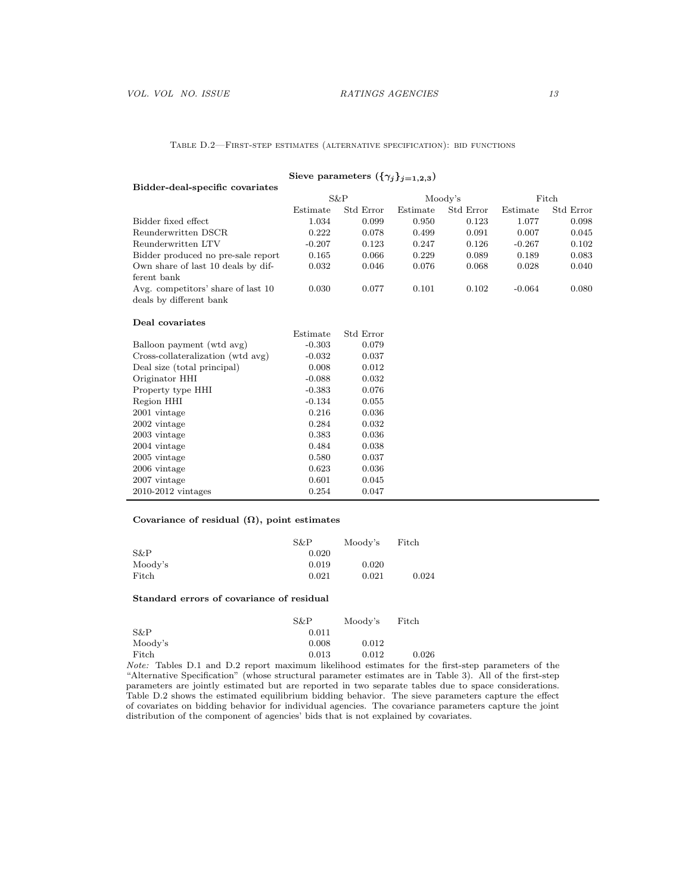Table D.2—First-step estimates (alternative specification): bid functions

| Bidder-deal-specific covariates    |          | (111)     |          |           |          |           |
|------------------------------------|----------|-----------|----------|-----------|----------|-----------|
|                                    |          | $S\&P$    | Moody's  |           | Fitch    |           |
|                                    | Estimate | Std Error | Estimate | Std Error | Estimate | Std Error |
| Bidder fixed effect                | 1.034    | 0.099     | 0.950    | 0.123     | 1.077    | 0.098     |
| Reunderwritten DSCR                | 0.222    | 0.078     | 0.499    | 0.091     | 0.007    | 0.045     |
| Reunderwritten LTV                 | $-0.207$ | 0.123     | 0.247    | 0.126     | $-0.267$ | 0.102     |
| Bidder produced no pre-sale report | 0.165    | 0.066     | 0.229    | 0.089     | 0.189    | 0.083     |
| Own share of last 10 deals by dif- | 0.032    | 0.046     | 0.076    | 0.068     | 0.028    | 0.040     |
| ferent bank                        |          |           |          |           |          |           |
| Avg. competitors' share of last 10 | 0.030    | 0.077     | 0.101    | 0.102     | $-0.064$ | 0.080     |
| deals by different bank            |          |           |          |           |          |           |
| Deal covariates                    |          |           |          |           |          |           |
|                                    | Estimate | Std Error |          |           |          |           |
| Balloon payment (wtd avg)          | $-0.303$ | 0.079     |          |           |          |           |
| Cross-collateralization (wtd avg)  | $-0.032$ | 0.037     |          |           |          |           |
| Deal size (total principal)        | 0.008    | 0.012     |          |           |          |           |
| Originator HHI                     | $-0.088$ | 0.032     |          |           |          |           |
| Property type HHI                  | $-0.383$ | 0.076     |          |           |          |           |
| Region HHI                         | $-0.134$ | 0.055     |          |           |          |           |
| 2001 vintage                       | 0.216    | 0.036     |          |           |          |           |
| 2002 vintage                       | 0.284    | 0.032     |          |           |          |           |
| 2003 vintage                       | 0.383    | 0.036     |          |           |          |           |
| 2004 vintage                       | 0.484    | 0.038     |          |           |          |           |
| 2005 vintage                       | 0.580    | 0.037     |          |           |          |           |
| 2006 vintage                       | 0.623    | 0.036     |          |           |          |           |
| 2007 vintage                       | 0.601    | 0.045     |          |           |          |           |
| $2010-2012$ vintages               | 0.254    | 0.047     |          |           |          |           |

## Sieve parameters  $({{\gamma_j}\}_{j=1,2,3})$

## Covariance of residual  $(\Omega)$ , point estimates

|         | S&P   | Moody's | Fitch |
|---------|-------|---------|-------|
| $S\&P$  | 0.020 |         |       |
| Moody's | 0.019 | 0.020   |       |
| Fitch   | 0.021 | 0.021   | 0.024 |

#### Standard errors of covariance of residual

|         | S&P   | Moody's | Fitch |
|---------|-------|---------|-------|
| $S\&P$  | 0.011 |         |       |
| Moody's | 0.008 | 0.012   |       |
| Fitch   | 0.013 | 0.012   | 0.026 |

*Note:* Tables D.1 and D.2 report maximum likelihood estimates for the first-step parameters of the "Alternative Specification" (whose structural parameter estimates are in Table 3). All of the first-step parameters are jointly estimated but are reported in two separate tables due to space considerations. Table D.2 shows the estimated equilibrium bidding behavior. The sieve parameters capture the effect of covariates on bidding behavior for individual agencies. The covariance parameters capture the joint distribution of the component of agencies' bids that is not explained by covariates.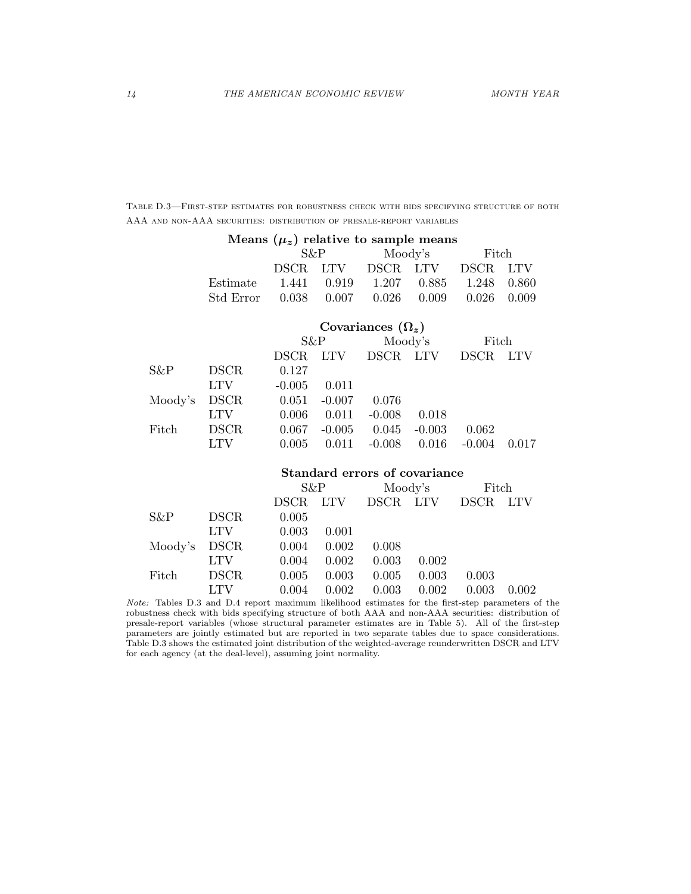Table D.3—First-step estimates for robustness check with bids specifying structure of both AAA and non-AAA securities: distribution of presale-report variables

|         |             |             |            | Means $(\mu_z)$ relative to sample means |          |             |            |  |
|---------|-------------|-------------|------------|------------------------------------------|----------|-------------|------------|--|
|         |             | S&P         |            |                                          | Moody's  |             | Fitch      |  |
|         |             | <b>DSCR</b> | LTV        |                                          | DSCR LTV | <b>DSCR</b> | <b>LTV</b> |  |
|         | Estimate    | 1.441       | 0.919      | 1.207                                    | 0.885    | 1.248       | 0.860      |  |
|         | Std Error   | 0.038       | 0.007      | 0.026                                    | 0.009    | 0.026       | 0.009      |  |
|         |             |             |            | Covariances $(\Omega_z)$                 |          |             |            |  |
|         |             | S&P         |            | Moody's                                  |          | Fitch       |            |  |
|         |             | <b>DSCR</b> | <b>LTV</b> |                                          | DSCR LTV | <b>DSCR</b> | <b>LTV</b> |  |
| S&P     | <b>DSCR</b> | 0.127       |            |                                          |          |             |            |  |
|         | <b>LTV</b>  | $-0.005$    | 0.011      |                                          |          |             |            |  |
| Moody's | <b>DSCR</b> | 0.051       | $-0.007$   | 0.076                                    |          |             |            |  |
|         | <b>LTV</b>  | 0.006       | 0.011      | $-0.008$                                 | 0.018    |             |            |  |
| Fitch   | <b>DSCR</b> | 0.067       | $-0.005$   | 0.045                                    | $-0.003$ | 0.062       |            |  |
|         | <b>LTV</b>  | 0.005       | 0.011      | $-0.008$                                 | 0.016    | $-0.004$    | 0.017      |  |
|         |             |             |            | Standard errors of covariance            |          |             |            |  |
|         |             | S&P         |            | Moody's                                  |          | Fitch       |            |  |
|         |             | <b>DSCR</b> | <b>LTV</b> |                                          | DSCR LTV | <b>DSCR</b> | <b>LTV</b> |  |
| S&P     | <b>DSCR</b> | 0.005       |            |                                          |          |             |            |  |
|         | <b>LTV</b>  | 0.003       | 0.001      |                                          |          |             |            |  |
| Moody's | <b>DSCR</b> | 0.004       | 0.002      | 0.008                                    |          |             |            |  |
|         | <b>LTV</b>  | 0.004       | 0.002      | 0.003                                    | 0.002    |             |            |  |
| Fitch   | <b>DSCR</b> | 0.005       | 0.003      | 0.005                                    | 0.003    | 0.003       |            |  |
|         | <b>LTV</b>  | 0.004       | 0.002      | 0.003                                    | 0.002    | 0.003       | 0.002      |  |

*Note:* Tables D.3 and D.4 report maximum likelihood estimates for the first-step parameters of the robustness check with bids specifying structure of both AAA and non-AAA securities: distribution of presale-report variables (whose structural parameter estimates are in Table 5). All of the first-step parameters are jointly estimated but are reported in two separate tables due to space considerations. Table D.3 shows the estimated joint distribution of the weighted-average reunderwritten DSCR and LTV for each agency (at the deal-level), assuming joint normality.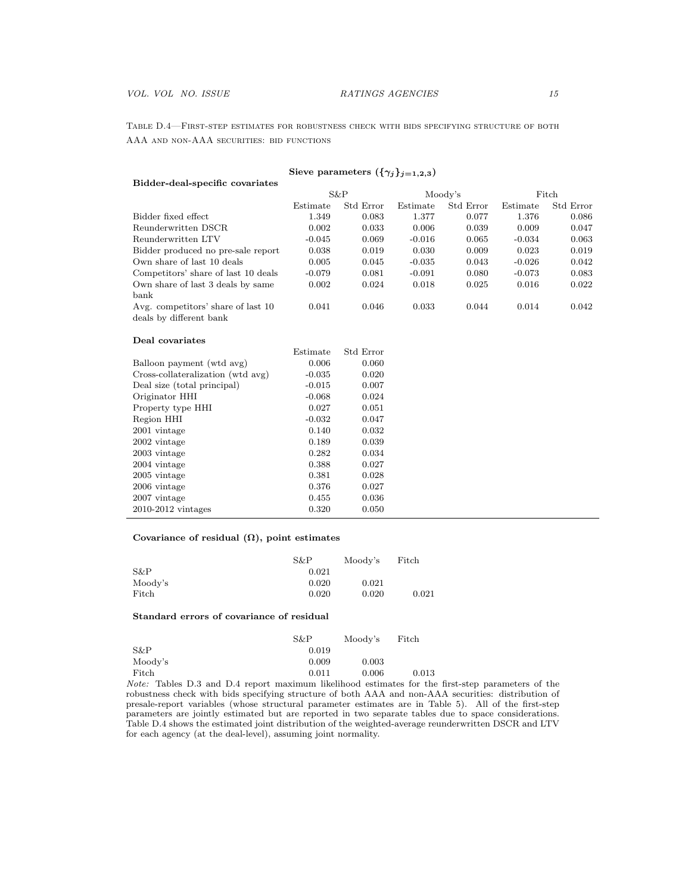Table D.4—First-step estimates for robustness check with bids specifying structure of both AAA and non-AAA securities: bid functions

| Sieve parameters $(\{\gamma_j\}_{j=1,2,3})$                   |          |           |          |           |          |           |  |
|---------------------------------------------------------------|----------|-----------|----------|-----------|----------|-----------|--|
| Bidder-deal-specific covariates                               |          |           |          |           |          |           |  |
|                                                               |          | S&P       | Moody's  |           | Fitch    |           |  |
|                                                               | Estimate | Std Error | Estimate | Std Error | Estimate | Std Error |  |
| Bidder fixed effect                                           | 1.349    | 0.083     | 1.377    | 0.077     | 1.376    | 0.086     |  |
| Reunderwritten DSCR                                           | 0.002    | 0.033     | 0.006    | 0.039     | 0.009    | 0.047     |  |
| Reunderwritten LTV                                            | $-0.045$ | 0.069     | $-0.016$ | 0.065     | $-0.034$ | 0.063     |  |
| Bidder produced no pre-sale report                            | 0.038    | 0.019     | 0.030    | 0.009     | 0.023    | 0.019     |  |
| Own share of last 10 deals                                    | 0.005    | 0.045     | $-0.035$ | 0.043     | $-0.026$ | 0.042     |  |
| Competitors' share of last 10 deals                           | $-0.079$ | 0.081     | $-0.091$ | 0.080     | $-0.073$ | 0.083     |  |
| Own share of last 3 deals by same<br>bank                     | 0.002    | 0.024     | 0.018    | 0.025     | 0.016    | 0.022     |  |
| Avg. competitors' share of last 10<br>deals by different bank | 0.041    | 0.046     | 0.033    | 0.044     | 0.014    | 0.042     |  |
| Deal covariates                                               |          |           |          |           |          |           |  |
|                                                               | Estimate | Std Error |          |           |          |           |  |
| Balloon payment (wtd avg)                                     | 0.006    | 0.060     |          |           |          |           |  |
| Cross-collateralization (wtd avg)                             | $-0.035$ | 0.020     |          |           |          |           |  |
| Deal size (total principal)                                   | $-0.015$ | 0.007     |          |           |          |           |  |
| Originator HHI                                                | $-0.068$ | 0.024     |          |           |          |           |  |
| Property type HHI                                             | 0.027    | 0.051     |          |           |          |           |  |
| Region HHI                                                    | $-0.032$ | 0.047     |          |           |          |           |  |
| 2001 vintage                                                  | 0.140    | 0.032     |          |           |          |           |  |
| 2002 vintage                                                  | 0.189    | 0.039     |          |           |          |           |  |
| 2003 vintage                                                  | 0.282    | 0.034     |          |           |          |           |  |
| 2004 vintage                                                  | 0.388    | 0.027     |          |           |          |           |  |
| 2005 vintage                                                  | 0.381    | 0.028     |          |           |          |           |  |
| 2006 vintage                                                  | 0.376    | 0.027     |          |           |          |           |  |
| 2007 vintage                                                  | 0.455    | 0.036     |          |           |          |           |  |
| 2010-2012 vintages                                            | 0.320    | 0.050     |          |           |          |           |  |

### Covariance of residual  $(\Omega)$ , point estimates

|         | S&P   | Moody's | Fitch |
|---------|-------|---------|-------|
| $S\&P$  | 0.021 |         |       |
| Moody's | 0.020 | 0.021   |       |
| Fitch   | 0.020 | 0.020   | 0.021 |

#### Standard errors of covariance of residual

|         | S&P   | Moody's | Fitch |
|---------|-------|---------|-------|
| S&P     | 0.019 |         |       |
| Moody's | 0.009 | 0.003   |       |
| Fitch   | 0.011 | 0.006   | 0.013 |

*Note:* Tables D.3 and D.4 report maximum likelihood estimates for the first-step parameters of the robustness check with bids specifying structure of both AAA and non-AAA securities: distribution of presale-report variables (whose structural parameter estimates are in Table 5). All of the first-step parameters are jointly estimated but are reported in two separate tables due to space considerations. Table D.4 shows the estimated joint distribution of the weighted-average reunderwritten DSCR and LTV for each agency (at the deal-level), assuming joint normality.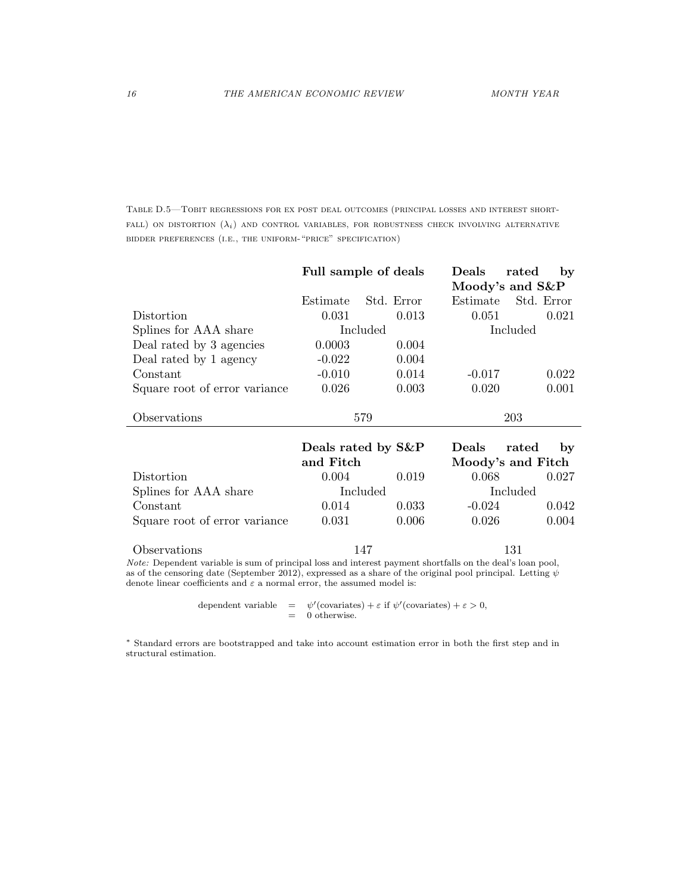Table D.5—Tobit regressions for ex post deal outcomes (principal losses and interest short- $FALL$ ) on distortion  $(\lambda_i)$  and control variables, for robustness check involving alternative bidder preferences (i.e., the uniform-"price" specification)

|                               |                    | Full sample of deals | Deals    | rated<br>by       |
|-------------------------------|--------------------|----------------------|----------|-------------------|
|                               |                    |                      |          | Moody's and S&P   |
|                               | Estimate           | Std. Error           | Estimate | Std. Error        |
| Distortion                    | 0.031              | 0.013                | 0.051    | 0.021             |
| Splines for AAA share         |                    | Included             |          | Included          |
| Deal rated by 3 agencies      | 0.0003             | 0.004                |          |                   |
| Deal rated by 1 agency        | $-0.022$           | 0.004                |          |                   |
| Constant                      | $-0.010$           | 0.014                | $-0.017$ | 0.022             |
| Square root of error variance | 0.026              | 0.003                | 0.020    | 0.001             |
| Observations                  | 579                |                      | 203      |                   |
|                               | Deals rated by S&P |                      | Deals    | rated<br>by       |
|                               | and Fitch          |                      |          | Moody's and Fitch |
| Distortion                    | 0.004              | 0.019                | 0.068    | 0.027             |
| Splines for AAA share         | Included           |                      |          | Included          |
| Constant                      | 0.014              | 0.033                | $-0.024$ | 0.042             |
| Square root of error variance | 0.031              | 0.006                | 0.026    | 0.004             |
| Observations                  | 147                |                      |          | 131               |

*Note:* Dependent variable is sum of principal loss and interest payment shortfalls on the deal's loan pool, as of the censoring date (September 2012), expressed as a share of the original pool principal. Letting  $\psi$ denote linear coefficients and  $\varepsilon$  a normal error, the assumed model is:

> dependent variable  $= \psi'(\text{covariates}) + \varepsilon \text{ if } \psi'(\text{covariates}) + \varepsilon > 0,$  $= 0$  otherwise.

⇤ Standard errors are bootstrapped and take into account estimation error in both the first step and in structural estimation.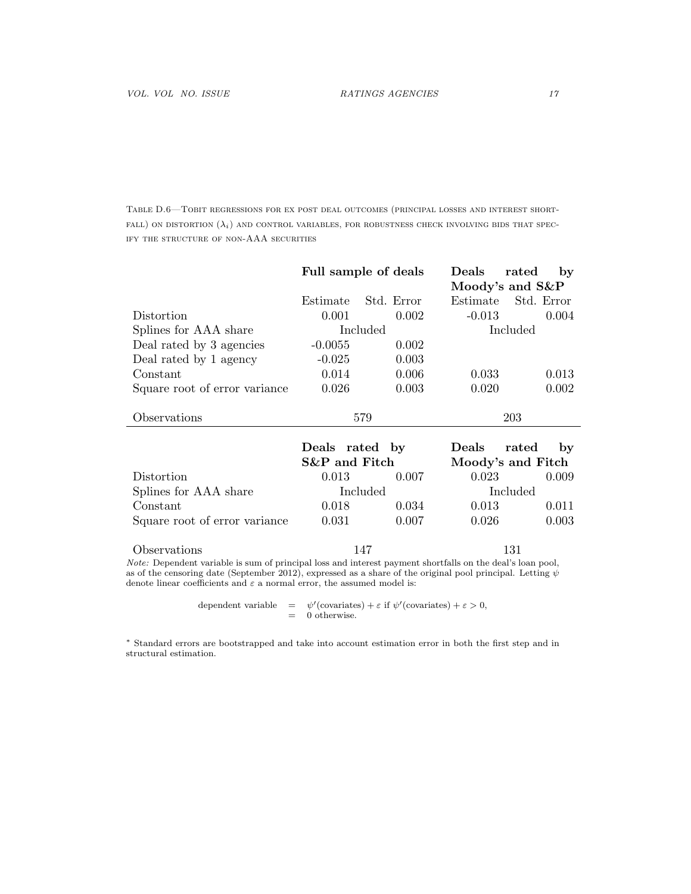Table D.6—Tobit regressions for ex post deal outcomes (principal losses and interest short- $FALL$ ) on distortion  $(\lambda_i)$  and control variables, for robustness check involving bids that specify the structure of non-AAA securities

|                               |                | Full sample of deals | Deals             | rated<br>by     |
|-------------------------------|----------------|----------------------|-------------------|-----------------|
|                               |                |                      |                   | Moody's and S&P |
|                               | Estimate       | Std. Error           | Estimate          | Std. Error      |
| Distortion                    | 0.001          | 0.002                | $-0.013$          | 0.004           |
| Splines for AAA share         |                | Included             |                   | Included        |
| Deal rated by 3 agencies      | $-0.0055$      | 0.002                |                   |                 |
| Deal rated by 1 agency        | $-0.025$       | 0.003                |                   |                 |
| Constant                      | 0.014          | 0.006                | 0.033             | 0.013           |
| Square root of error variance | 0.026          | 0.003                | 0.020             | 0.002           |
| Observations                  | 579            |                      | 203               |                 |
|                               | Deals rated by |                      | Deals             | rated<br>by     |
|                               | S&P and Fitch  |                      | Moody's and Fitch |                 |
| Distortion                    | 0.013          | 0.007                | 0.023             | 0.009           |
| Splines for AAA share         |                | Included             |                   | Included        |
| Constant                      | 0.018          | 0.034                | 0.013             | 0.011           |
| Square root of error variance | 0.031          | 0.007                | 0.026             | 0.003           |
| Observations                  | 147            |                      |                   | 131             |

*Note:* Dependent variable is sum of principal loss and interest payment shortfalls on the deal's loan pool, as of the censoring date (September 2012), expressed as a share of the original pool principal. Letting  $\psi$ denote linear coefficients and  $\varepsilon$  a normal error, the assumed model is:

> dependent variable  $= \psi'(\text{covariates}) + \varepsilon \text{ if } \psi'(\text{covariates}) + \varepsilon > 0,$  $= 0$  otherwise.

⇤ Standard errors are bootstrapped and take into account estimation error in both the first step and in structural estimation.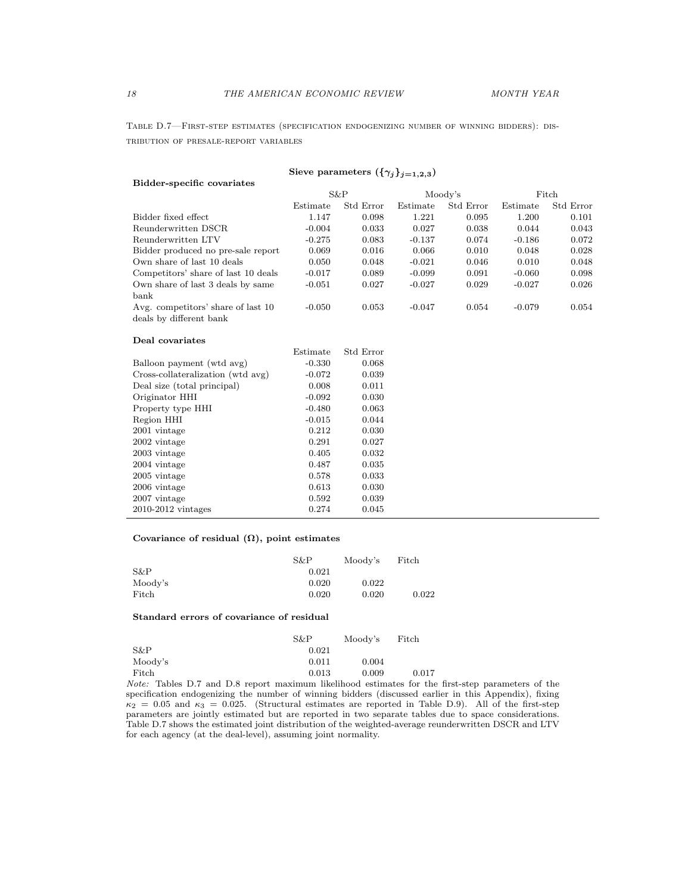Table D.7—First-step estimates (specification endogenizing number of winning bidders): distribution of presale-report variables

| Sieve parameters $(\{\gamma_j\}_{j=1,2,3})$                   |          |           |          |           |          |           |
|---------------------------------------------------------------|----------|-----------|----------|-----------|----------|-----------|
| Bidder-specific covariates                                    |          |           |          |           |          |           |
|                                                               |          | S&P       |          | Moody's   | Fitch    |           |
|                                                               | Estimate | Std Error | Estimate | Std Error | Estimate | Std Error |
| Bidder fixed effect                                           | 1.147    | 0.098     | 1.221    | 0.095     | 1.200    | 0.101     |
| Reunderwritten DSCR                                           | $-0.004$ | 0.033     | 0.027    | 0.038     | 0.044    | 0.043     |
| Reunderwritten LTV                                            | $-0.275$ | 0.083     | $-0.137$ | 0.074     | $-0.186$ | 0.072     |
| Bidder produced no pre-sale report                            | 0.069    | 0.016     | 0.066    | 0.010     | 0.048    | 0.028     |
| Own share of last 10 deals                                    | 0.050    | 0.048     | $-0.021$ | 0.046     | 0.010    | 0.048     |
| Competitors' share of last 10 deals                           | $-0.017$ | 0.089     | $-0.099$ | 0.091     | $-0.060$ | 0.098     |
| Own share of last 3 deals by same<br>bank                     | $-0.051$ | 0.027     | $-0.027$ | 0.029     | $-0.027$ | 0.026     |
| Avg. competitors' share of last 10<br>deals by different bank | $-0.050$ | 0.053     | $-0.047$ | 0.054     | $-0.079$ | 0.054     |
| Deal covariates                                               |          |           |          |           |          |           |
|                                                               | Estimate | Std Error |          |           |          |           |
| Balloon payment (wtd avg)                                     | $-0.330$ | 0.068     |          |           |          |           |
| Cross-collateralization (wtd avg)                             | $-0.072$ | 0.039     |          |           |          |           |
| Deal size (total principal)                                   | 0.008    | 0.011     |          |           |          |           |
| Originator HHI                                                | $-0.092$ | 0.030     |          |           |          |           |
| Property type HHI                                             | $-0.480$ | 0.063     |          |           |          |           |
| Region HHI                                                    | $-0.015$ | 0.044     |          |           |          |           |
| 2001 vintage                                                  | 0.212    | 0.030     |          |           |          |           |
| 2002 vintage                                                  | 0.291    | 0.027     |          |           |          |           |
| 2003 vintage                                                  | 0.405    | 0.032     |          |           |          |           |
| 2004 vintage                                                  | 0.487    | 0.035     |          |           |          |           |
| 2005 vintage                                                  | 0.578    | 0.033     |          |           |          |           |
| 2006 vintage                                                  | 0.613    | 0.030     |          |           |          |           |
| 2007 vintage                                                  | 0.592    | 0.039     |          |           |          |           |
| $2010-2012$ vintages                                          | 0.274    | 0.045     |          |           |          |           |

### Covariance of residual  $(\Omega)$ , point estimates

|         | S&P   | Moody's | Fitch |
|---------|-------|---------|-------|
| $S\&P$  | 0.021 |         |       |
| Moody's | 0.020 | 0.022   |       |
| Fitch   | 0.020 | 0.020   | 0.022 |

#### Standard errors of covariance of residual

|         | S&P   | Moody's | Fitch |
|---------|-------|---------|-------|
| S&P     | 0.021 |         |       |
| Moody's | 0.011 | 0.004   |       |
| Fitch   | 0.013 | 0.009   | 0.017 |

*Note:* Tables D.7 and D.8 report maximum likelihood estimates for the first-step parameters of the specification endogenizing the number of winning bidders (discussed earlier in this Appendix), fixing  $\kappa_2 = 0.05$  and  $\kappa_3 = 0.025$ . (Structural estimates are reported in Table D.9). All of the first-step parameters are jointly estimated but are reported in two separate tables due to space considerations. Table D.7 shows the estimated joint distribution of the weighted-average reunderwritten DSCR and LTV for each agency (at the deal-level), assuming joint normality.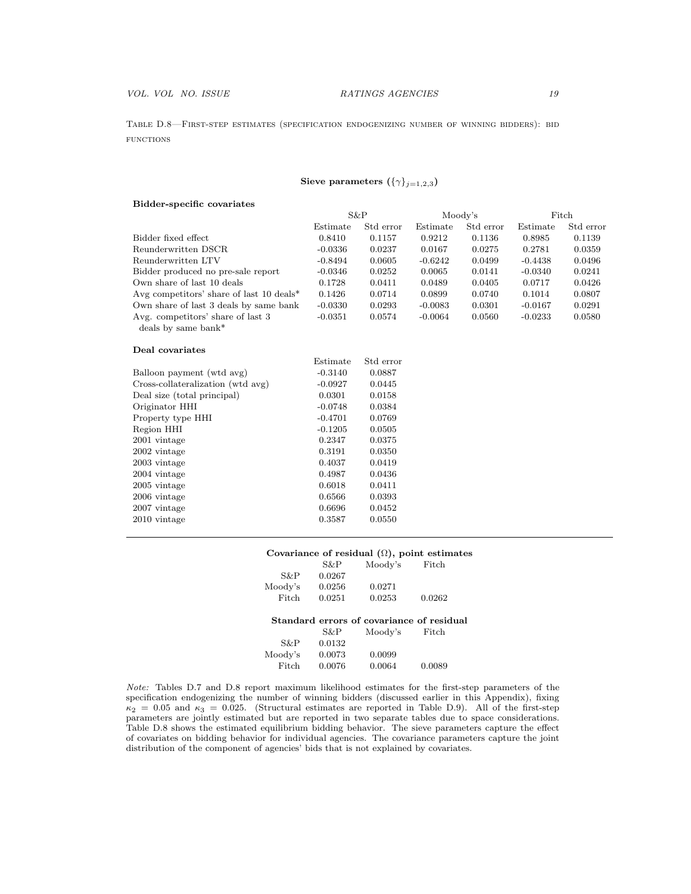Table D.8—First-step estimates (specification endogenizing number of winning bidders): bid **FUNCTIONS** 

# Sieve parameters  $({{\gamma}})_{j=1,2,3}$

### Bidder-specific covariates

|                                          | S&P       |           | Moody's   |           | Fitch     |           |
|------------------------------------------|-----------|-----------|-----------|-----------|-----------|-----------|
|                                          | Estimate  | Std error | Estimate  | Std error | Estimate  | Std error |
| Bidder fixed effect                      | 0.8410    | 0.1157    | 0.9212    | 0.1136    | 0.8985    | 0.1139    |
| Reunderwritten DSCR                      | $-0.0336$ | 0.0237    | 0.0167    | 0.0275    | 0.2781    | 0.0359    |
| Reunderwritten LTV                       | $-0.8494$ | 0.0605    | $-0.6242$ | 0.0499    | $-0.4438$ | 0.0496    |
| Bidder produced no pre-sale report       | $-0.0346$ | 0.0252    | 0.0065    | 0.0141    | $-0.0340$ | 0.0241    |
| Own share of last 10 deals               | 0.1728    | 0.0411    | 0.0489    | 0.0405    | 0.0717    | 0.0426    |
| Avg competitors' share of last 10 deals* | 0.1426    | 0.0714    | 0.0899    | 0.0740    | 0.1014    | 0.0807    |
| Own share of last 3 deals by same bank   | $-0.0330$ | 0.0293    | $-0.0083$ | 0.0301    | $-0.0167$ | 0.0291    |
| Avg. competitors' share of last 3        | $-0.0351$ | 0.0574    | $-0.0064$ | 0.0560    | $-0.0233$ | 0.0580    |
| deals by same bank*                      |           |           |           |           |           |           |
| Deal covariates                          |           |           |           |           |           |           |
|                                          | Estimate  | Std error |           |           |           |           |
| Balloon payment (wtd avg)                | $-0.3140$ | 0.0887    |           |           |           |           |
| Cross-collateralization (wtd avg)        | $-0.0927$ | 0.0445    |           |           |           |           |
| Deal size (total principal)              | 0.0301    | 0.0158    |           |           |           |           |
| Originator HHI                           | $-0.0748$ | 0.0384    |           |           |           |           |
| Property type HHI                        | $-0.4701$ | 0.0769    |           |           |           |           |
| Region HHI                               | $-0.1205$ | 0.0505    |           |           |           |           |
| 2001 vintage                             | 0.2347    | 0.0375    |           |           |           |           |
| 2002 vintage                             | 0.3191    | 0.0350    |           |           |           |           |
| 2003 vintage                             | 0.4037    | 0.0419    |           |           |           |           |
| 2004 vintage                             | 0.4987    | 0.0436    |           |           |           |           |
| 2005 vintage                             | 0.6018    | 0.0411    |           |           |           |           |
| 2006 vintage                             | 0.6566    | 0.0393    |           |           |           |           |
| 2007 vintage                             | 0.6696    | 0.0452    |           |           |           |           |
| 2010 vintage                             | 0.3587    | 0.0550    |           |           |           |           |
|                                          |           |           |           |           |           |           |

## Covariance of residual  $(Ω)$ , point estimates

|         | S&P    | Moody's                                   | Fitch  |
|---------|--------|-------------------------------------------|--------|
| S&P     | 0.0267 |                                           |        |
| Moody's | 0.0256 | 0.0271                                    |        |
| Fitch   | 0.0251 | 0.0253                                    | 0.0262 |
|         |        |                                           |        |
|         |        | Standard errors of covariance of residual |        |
|         | S&P    | Moody's                                   | Fitch  |
| S&P     | 0.0132 |                                           |        |
| Moody's | 0.0073 | 0.0099                                    |        |
| Fitch   | 0.0076 | 0.0064                                    | 0.0089 |

*Note:* Tables D.7 and D.8 report maximum likelihood estimates for the first-step parameters of the specification endogenizing the number of winning bidders (discussed earlier in this Appendix), fixing  $\kappa_2 = 0.05$  and  $\kappa_3 = 0.025$ . (Structural estimates are reported in Table D.9). All of the first-step parameters are jointly estimated but are reported in two separate tables due to space considerations. Table D.8 shows the estimated equilibrium bidding behavior. The sieve parameters capture the effect of covariates on bidding behavior for individual agencies. The covariance parameters capture the joint distribution of the component of agencies' bids that is not explained by covariates.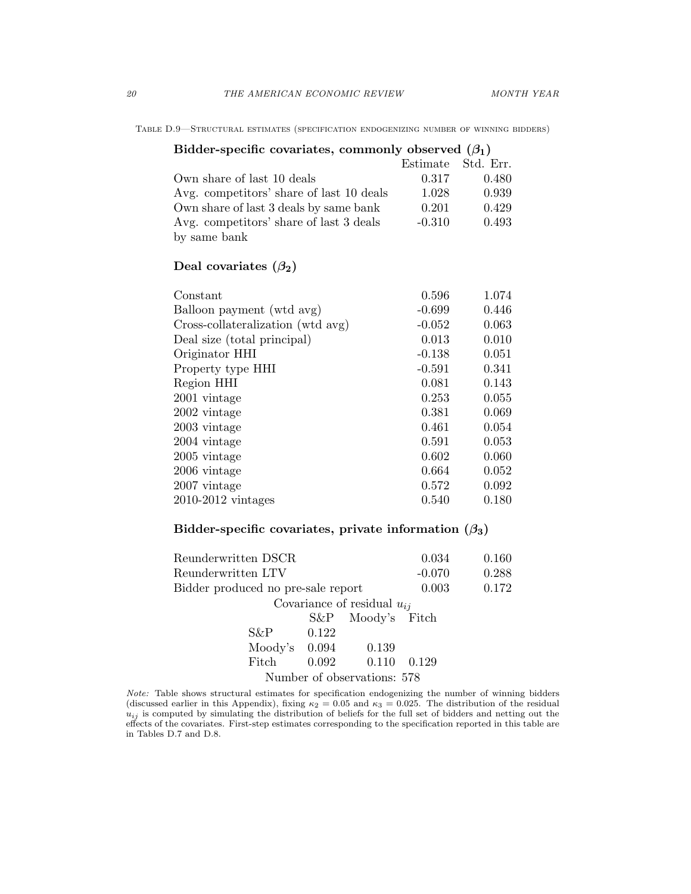| TABLE D.9—STRUCTURAL ESTIMATES (SPECIFICATION ENDOGENIZING NUMBER OF WINNING BIDDERS) |  |  |
|---------------------------------------------------------------------------------------|--|--|
|---------------------------------------------------------------------------------------|--|--|

# Bidder-specific covariates, commonly observed  $(\beta_1)$

|                                          | Estimate Std. Err. |       |
|------------------------------------------|--------------------|-------|
| Own share of last 10 deals               | 0.317              | 0.480 |
| Avg. competitors' share of last 10 deals | 1.028              | 0.939 |
| Own share of last 3 deals by same bank   | 0.201              | 0.429 |
| Avg. competitors' share of last 3 deals  | $-0.310$           | 0.493 |
| by same bank                             |                    |       |

# Deal covariates  $(\beta_2)$

| 0.596<br>1.074    | Constant                          |
|-------------------|-----------------------------------|
| $-0.699$<br>0.446 | Balloon payment (wtd avg)         |
| $-0.052$<br>0.063 | Cross-collateralization (wtd avg) |
| 0.013<br>0.010    | Deal size (total principal)       |
| 0.051<br>$-0.138$ | Originator HHI                    |
| $-0.591$<br>0.341 | Property type HHI                 |
| 0.081<br>0.143    | Region HHI                        |
| 0.253<br>0.055    | 2001 vintage                      |
| 0.069<br>0.381    | 2002 vintage                      |
| 0.054<br>0.461    | 2003 vintage                      |
| 0.591<br>0.053    | 2004 vintage                      |
| 0.602<br>0.060    | 2005 vintage                      |
| 0.052<br>0.664    | 2006 vintage                      |
| 0.092<br>0.572    | 2007 vintage                      |
| 0.180<br>0.540    | $2010-2012$ vintages              |
|                   |                                   |

# Bidder-specific covariates, private information  $(\beta_3)$

| Reunderwritten DSCR                |       |                                 | 0.034    | 0.160 |
|------------------------------------|-------|---------------------------------|----------|-------|
| Reunderwritten LTV                 |       |                                 | $-0.070$ | 0.288 |
| Bidder produced no pre-sale report |       |                                 | 0.003    | 0.172 |
|                                    |       | Covariance of residual $u_{ij}$ |          |       |
|                                    |       | S&P Moody's Fitch               |          |       |
| S&P-                               | 0.122 |                                 |          |       |
|                                    |       | Moody's $0.094$ 0.139           |          |       |
| Fitch                              |       | $0.092$ $0.110$                 | 0.129    |       |
|                                    |       | Number of observations: 578     |          |       |

*Note:* Table shows structural estimates for specification endogenizing the number of winning bidders (discussed earlier in this Appendix), fixing  $\kappa_2 = 0.05$  and  $\kappa_3 = 0.025$ . The distribution of the residual *uij* is computed by simulating the distribution of beliefs for the full set of bidders and netting out the effects of the covariates. First-step estimates corresponding to the specification reported in this table are in Tables D.7 and D.8.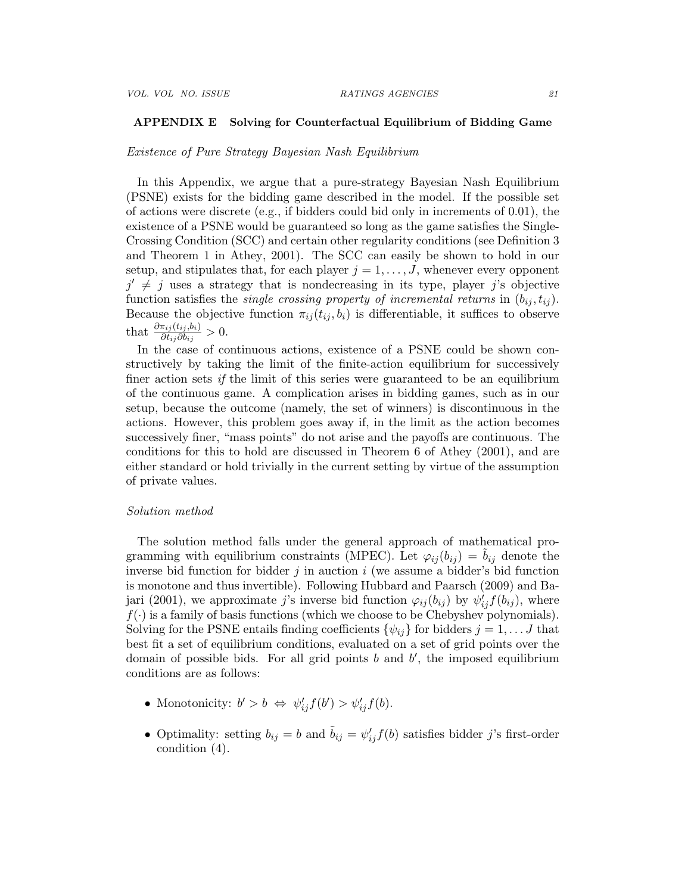### APPENDIX E Solving for Counterfactual Equilibrium of Bidding Game

### *Existence of Pure Strategy Bayesian Nash Equilibrium*

In this Appendix, we argue that a pure-strategy Bayesian Nash Equilibrium (PSNE) exists for the bidding game described in the model. If the possible set of actions were discrete (e.g., if bidders could bid only in increments of  $(0.01)$ , the existence of a PSNE would be guaranteed so long as the game satisfies the Single-Crossing Condition (SCC) and certain other regularity conditions (see Definition 3 and Theorem 1 in Athey, 2001). The SCC can easily be shown to hold in our setup, and stipulates that, for each player  $j = 1, \ldots, J$ , whenever every opponent  $j' \neq j$  uses a strategy that is nondecreasing in its type, player *j*'s objective function satisfies the *single crossing property of incremental returns* in  $(b_{ij}, t_{ij})$ . Because the objective function  $\pi_{ij}(t_{ij}, b_i)$  is differentiable, it suffices to observe that  $\frac{\partial \pi_{ij}(t_{ij},b_i)}{\partial t_{ij}\partial b_{ij}} > 0.$ 

In the case of continuous actions, existence of a PSNE could be shown constructively by taking the limit of the finite-action equilibrium for successively finer action sets *if* the limit of this series were guaranteed to be an equilibrium of the continuous game. A complication arises in bidding games, such as in our setup, because the outcome (namely, the set of winners) is discontinuous in the actions. However, this problem goes away if, in the limit as the action becomes successively finer, "mass points" do not arise and the payoffs are continuous. The conditions for this to hold are discussed in Theorem 6 of Athey (2001), and are either standard or hold trivially in the current setting by virtue of the assumption of private values.

### *Solution method*

The solution method falls under the general approach of mathematical programming with equilibrium constraints (MPEC). Let  $\varphi_{ij}(b_{ij}) = b_{ij}$  denote the inverse bid function for bidder *j* in auction *i* (we assume a bidder's bid function is monotone and thus invertible). Following Hubbard and Paarsch (2009) and Bajari (2001), we approximate *j*'s inverse bid function  $\varphi_{ij}(b_{ij})$  by  $\psi'_{ij} f(b_{ij})$ , where  $f(\cdot)$  is a family of basis functions (which we choose to be Chebyshev polynomials). Solving for the PSNE entails finding coefficients  $\{\psi_{ij}\}\$ for bidders  $j = 1, \ldots J$  that best fit a set of equilibrium conditions, evaluated on a set of grid points over the domain of possible bids. For all grid points  $b$  and  $b'$ , the imposed equilibrium conditions are as follows:

- Monotonicity:  $b' > b \Leftrightarrow \psi'_{ij} f(b') > \psi'_{ij} f(b)$ .
- Optimality: setting  $b_{ij} = b$  and  $\tilde{b}_{ij} = \psi'_{ij} f(b)$  satisfies bidder *j*'s first-order condition (4).